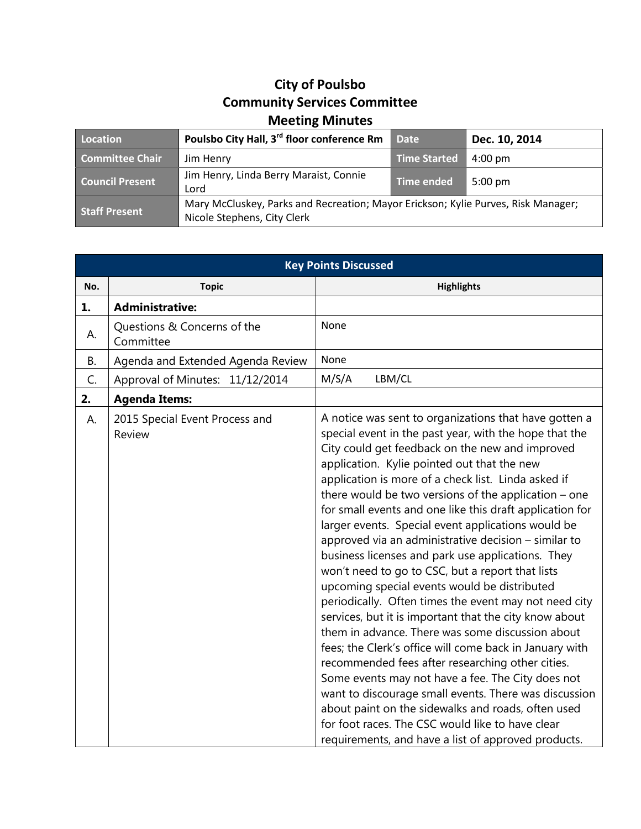## **City of Poulsbo Community Services Committee Meeting Minutes**

| Location                                                                 | Poulsbo City Hall, 3 <sup>rd</sup> floor conference Rm                                                           | <b>Date</b>         | Dec. 10, 2014     |
|--------------------------------------------------------------------------|------------------------------------------------------------------------------------------------------------------|---------------------|-------------------|
| <b>Committee Chair</b>                                                   | Jim Henry                                                                                                        | <b>Time Started</b> | $4:00 \text{ pm}$ |
| Jim Henry, Linda Berry Maraist, Connie<br><b>Council Present</b><br>Lord |                                                                                                                  | <b>Time ended</b>   | $5:00 \text{ pm}$ |
| <b>Staff Present</b>                                                     | Mary McCluskey, Parks and Recreation; Mayor Erickson; Kylie Purves, Risk Manager;<br>Nicole Stephens, City Clerk |                     |                   |

| <b>Key Points Discussed</b> |                                          |                                                                                                                                                                                                                                                                                                                                                                                                                                                                                                                                                                                                                                                                                                                                                                                                                                                                                                                                                                                                                                                                                                                                                                                                                                            |  |
|-----------------------------|------------------------------------------|--------------------------------------------------------------------------------------------------------------------------------------------------------------------------------------------------------------------------------------------------------------------------------------------------------------------------------------------------------------------------------------------------------------------------------------------------------------------------------------------------------------------------------------------------------------------------------------------------------------------------------------------------------------------------------------------------------------------------------------------------------------------------------------------------------------------------------------------------------------------------------------------------------------------------------------------------------------------------------------------------------------------------------------------------------------------------------------------------------------------------------------------------------------------------------------------------------------------------------------------|--|
| No.                         | <b>Topic</b>                             | <b>Highlights</b>                                                                                                                                                                                                                                                                                                                                                                                                                                                                                                                                                                                                                                                                                                                                                                                                                                                                                                                                                                                                                                                                                                                                                                                                                          |  |
| 1.                          | <b>Administrative:</b>                   |                                                                                                                                                                                                                                                                                                                                                                                                                                                                                                                                                                                                                                                                                                                                                                                                                                                                                                                                                                                                                                                                                                                                                                                                                                            |  |
| А.                          | Questions & Concerns of the<br>Committee | None                                                                                                                                                                                                                                                                                                                                                                                                                                                                                                                                                                                                                                                                                                                                                                                                                                                                                                                                                                                                                                                                                                                                                                                                                                       |  |
| В.                          | Agenda and Extended Agenda Review        | None                                                                                                                                                                                                                                                                                                                                                                                                                                                                                                                                                                                                                                                                                                                                                                                                                                                                                                                                                                                                                                                                                                                                                                                                                                       |  |
| C.                          | Approval of Minutes: 11/12/2014          | M/S/A<br>LBM/CL                                                                                                                                                                                                                                                                                                                                                                                                                                                                                                                                                                                                                                                                                                                                                                                                                                                                                                                                                                                                                                                                                                                                                                                                                            |  |
| 2.                          | <b>Agenda Items:</b>                     |                                                                                                                                                                                                                                                                                                                                                                                                                                                                                                                                                                                                                                                                                                                                                                                                                                                                                                                                                                                                                                                                                                                                                                                                                                            |  |
| А.                          | 2015 Special Event Process and<br>Review | A notice was sent to organizations that have gotten a<br>special event in the past year, with the hope that the<br>City could get feedback on the new and improved<br>application. Kylie pointed out that the new<br>application is more of a check list. Linda asked if<br>there would be two versions of the application $-$ one<br>for small events and one like this draft application for<br>larger events. Special event applications would be<br>approved via an administrative decision - similar to<br>business licenses and park use applications. They<br>won't need to go to CSC, but a report that lists<br>upcoming special events would be distributed<br>periodically. Often times the event may not need city<br>services, but it is important that the city know about<br>them in advance. There was some discussion about<br>fees; the Clerk's office will come back in January with<br>recommended fees after researching other cities.<br>Some events may not have a fee. The City does not<br>want to discourage small events. There was discussion<br>about paint on the sidewalks and roads, often used<br>for foot races. The CSC would like to have clear<br>requirements, and have a list of approved products. |  |